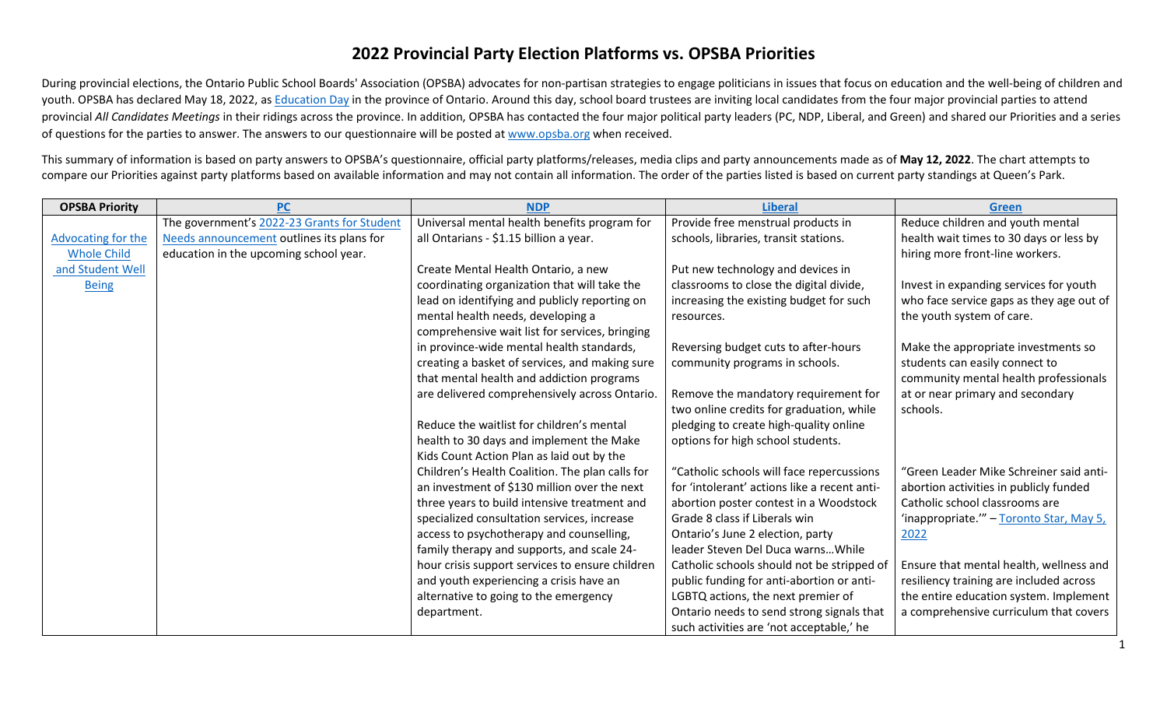## **2022 Provincial Party Election Platforms vs. OPSBA Priorities**

During provincial elections, the Ontario Public School Boards' Association (OPSBA) advocates for non-partisan strategies to engage politicians in issues that focus on education and the well-being of children and youth. OPSBA has declared May 18, 2022, as [Education Day](https://www.opsba.org/2022-provincial-election/) in the province of Ontario. Around this day, school board trustees are inviting local candidates from the four major provincial parties to attend provincial *All Candidates Meetings* in their ridings across the province. In addition, OPSBA has contacted the four major political party leaders (PC, NDP, Liberal, and Green) and shared our Priorities and a series of questions for the parties to answer. The answers to our questionnaire will be posted at [www.opsba.org](http://www.opsba.org/) when received.

This summary of information is based on party answers to OPSBA's questionnaire, official party platforms/releases, media clips and party announcements made as of **May 12, 2022**. The chart attempts to compare our Priorities against party platforms based on available information and may not contain all information. The order of the parties listed is based on current party standings at Queen's Park.

| <b>OPSBA Priority</b> | <b>PC</b>                                   | <b>NDP</b>                                      | <b>Liberal</b>                               | <b>Green</b>                             |
|-----------------------|---------------------------------------------|-------------------------------------------------|----------------------------------------------|------------------------------------------|
|                       | The government's 2022-23 Grants for Student | Universal mental health benefits program for    | Provide free menstrual products in           | Reduce children and youth mental         |
| Advocating for the    | Needs announcement outlines its plans for   | all Ontarians - \$1.15 billion a year.          | schools, libraries, transit stations.        | health wait times to 30 days or less by  |
| <b>Whole Child</b>    | education in the upcoming school year.      |                                                 |                                              | hiring more front-line workers.          |
| and Student Well      |                                             | Create Mental Health Ontario, a new             | Put new technology and devices in            |                                          |
| <b>Being</b>          |                                             | coordinating organization that will take the    | classrooms to close the digital divide,      | Invest in expanding services for youth   |
|                       |                                             | lead on identifying and publicly reporting on   | increasing the existing budget for such      | who face service gaps as they age out of |
|                       |                                             | mental health needs, developing a               | resources.                                   | the youth system of care.                |
|                       |                                             | comprehensive wait list for services, bringing  |                                              |                                          |
|                       |                                             | in province-wide mental health standards,       | Reversing budget cuts to after-hours         | Make the appropriate investments so      |
|                       |                                             | creating a basket of services, and making sure  | community programs in schools.               | students can easily connect to           |
|                       |                                             | that mental health and addiction programs       |                                              | community mental health professionals    |
|                       |                                             | are delivered comprehensively across Ontario.   | Remove the mandatory requirement for         | at or near primary and secondary         |
|                       |                                             |                                                 | two online credits for graduation, while     | schools.                                 |
|                       |                                             | Reduce the waitlist for children's mental       | pledging to create high-quality online       |                                          |
|                       |                                             | health to 30 days and implement the Make        | options for high school students.            |                                          |
|                       |                                             | Kids Count Action Plan as laid out by the       |                                              |                                          |
|                       |                                             | Children's Health Coalition. The plan calls for | "Catholic schools will face repercussions    | "Green Leader Mike Schreiner said anti-  |
|                       |                                             | an investment of \$130 million over the next    | for 'intolerant' actions like a recent anti- | abortion activities in publicly funded   |
|                       |                                             | three years to build intensive treatment and    | abortion poster contest in a Woodstock       | Catholic school classrooms are           |
|                       |                                             | specialized consultation services, increase     | Grade 8 class if Liberals win                | 'inappropriate.'" - Toronto Star, May 5, |
|                       |                                             | access to psychotherapy and counselling,        | Ontario's June 2 election, party             | 2022                                     |
|                       |                                             | family therapy and supports, and scale 24-      | leader Steven Del Duca warns While           |                                          |
|                       |                                             | hour crisis support services to ensure children | Catholic schools should not be stripped of   | Ensure that mental health, wellness and  |
|                       |                                             | and youth experiencing a crisis have an         | public funding for anti-abortion or anti-    | resiliency training are included across  |
|                       |                                             | alternative to going to the emergency           | LGBTQ actions, the next premier of           | the entire education system. Implement   |
|                       |                                             | department.                                     | Ontario needs to send strong signals that    | a comprehensive curriculum that covers   |
|                       |                                             |                                                 | such activities are 'not acceptable,' he     |                                          |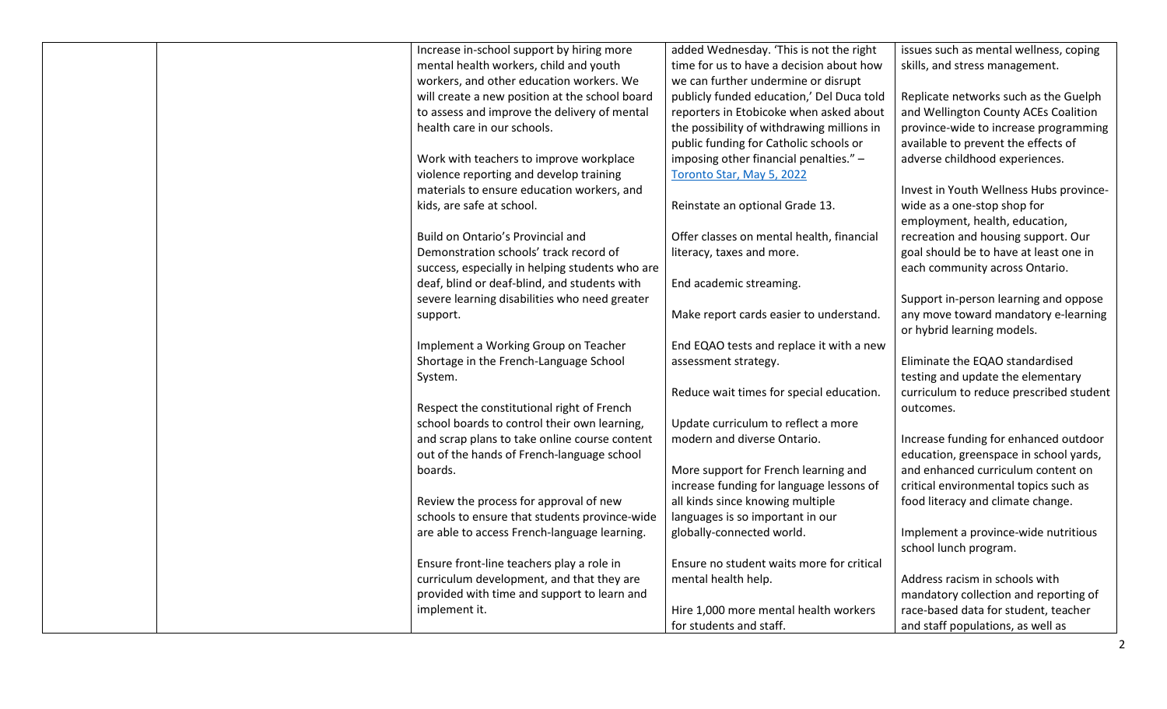|  | Increase in-school support by hiring more       | added Wednesday. 'This is not the right    | issues such as mental wellness, coping  |
|--|-------------------------------------------------|--------------------------------------------|-----------------------------------------|
|  | mental health workers, child and youth          | time for us to have a decision about how   | skills, and stress management.          |
|  | workers, and other education workers. We        | we can further undermine or disrupt        |                                         |
|  | will create a new position at the school board  | publicly funded education,' Del Duca told  | Replicate networks such as the Guelph   |
|  | to assess and improve the delivery of mental    | reporters in Etobicoke when asked about    | and Wellington County ACEs Coalition    |
|  | health care in our schools.                     | the possibility of withdrawing millions in | province-wide to increase programming   |
|  |                                                 | public funding for Catholic schools or     | available to prevent the effects of     |
|  | Work with teachers to improve workplace         | imposing other financial penalties." -     | adverse childhood experiences.          |
|  | violence reporting and develop training         | Toronto Star, May 5, 2022                  |                                         |
|  | materials to ensure education workers, and      |                                            | Invest in Youth Wellness Hubs province- |
|  | kids, are safe at school.                       | Reinstate an optional Grade 13.            | wide as a one-stop shop for             |
|  |                                                 |                                            | employment, health, education,          |
|  | Build on Ontario's Provincial and               | Offer classes on mental health, financial  | recreation and housing support. Our     |
|  | Demonstration schools' track record of          | literacy, taxes and more.                  | goal should be to have at least one in  |
|  | success, especially in helping students who are |                                            | each community across Ontario.          |
|  | deaf, blind or deaf-blind, and students with    | End academic streaming.                    |                                         |
|  | severe learning disabilities who need greater   |                                            | Support in-person learning and oppose   |
|  | support.                                        | Make report cards easier to understand.    | any move toward mandatory e-learning    |
|  |                                                 |                                            | or hybrid learning models.              |
|  | Implement a Working Group on Teacher            | End EQAO tests and replace it with a new   |                                         |
|  | Shortage in the French-Language School          | assessment strategy.                       | Eliminate the EQAO standardised         |
|  | System.                                         |                                            | testing and update the elementary       |
|  |                                                 | Reduce wait times for special education.   | curriculum to reduce prescribed student |
|  | Respect the constitutional right of French      |                                            | outcomes.                               |
|  | school boards to control their own learning,    | Update curriculum to reflect a more        |                                         |
|  | and scrap plans to take online course content   | modern and diverse Ontario.                | Increase funding for enhanced outdoor   |
|  | out of the hands of French-language school      |                                            | education, greenspace in school yards,  |
|  | boards.                                         | More support for French learning and       | and enhanced curriculum content on      |
|  |                                                 | increase funding for language lessons of   | critical environmental topics such as   |
|  | Review the process for approval of new          | all kinds since knowing multiple           | food literacy and climate change.       |
|  | schools to ensure that students province-wide   | languages is so important in our           |                                         |
|  | are able to access French-language learning.    | globally-connected world.                  | Implement a province-wide nutritious    |
|  |                                                 |                                            | school lunch program.                   |
|  | Ensure front-line teachers play a role in       | Ensure no student waits more for critical  |                                         |
|  | curriculum development, and that they are       | mental health help.                        | Address racism in schools with          |
|  | provided with time and support to learn and     |                                            | mandatory collection and reporting of   |
|  | implement it.                                   | Hire 1,000 more mental health workers      | race-based data for student, teacher    |
|  |                                                 | for students and staff.                    | and staff populations, as well as       |
|  |                                                 |                                            |                                         |

2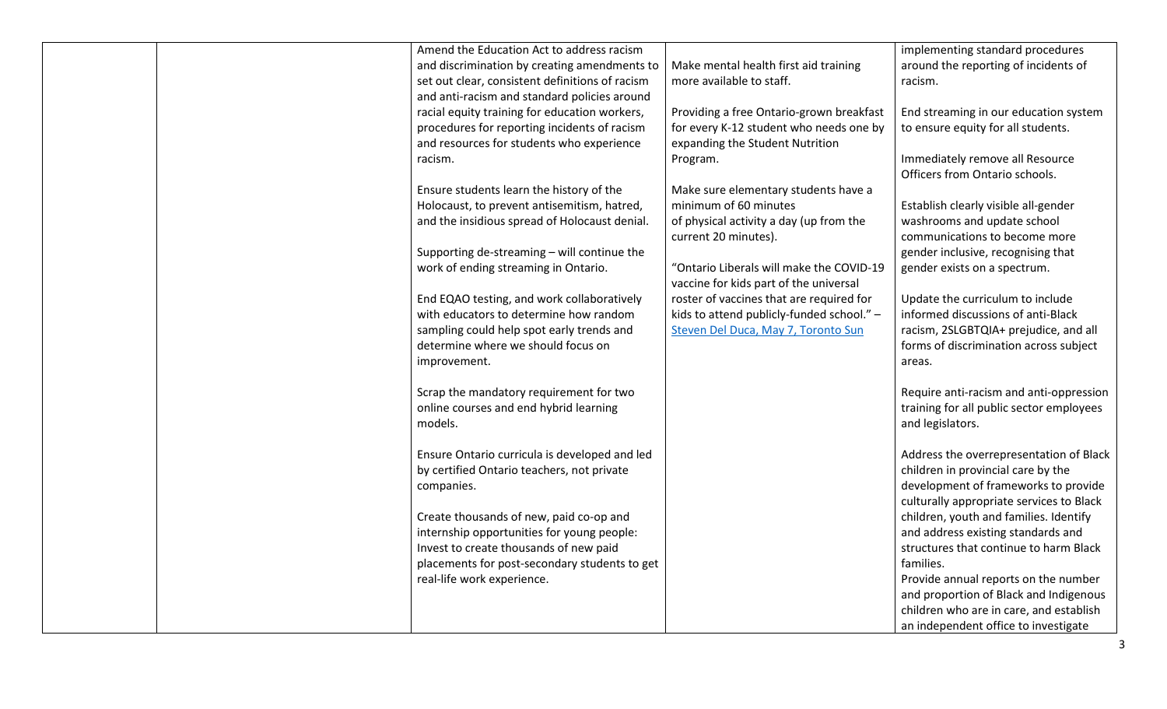|  | Amend the Education Act to address racism<br>and discrimination by creating amendments to       | Make mental health first aid training                                              | implementing standard procedures<br>around the reporting of incidents of |
|--|-------------------------------------------------------------------------------------------------|------------------------------------------------------------------------------------|--------------------------------------------------------------------------|
|  | set out clear, consistent definitions of racism<br>and anti-racism and standard policies around | more available to staff.                                                           | racism.                                                                  |
|  | racial equity training for education workers,                                                   | Providing a free Ontario-grown breakfast                                           | End streaming in our education system                                    |
|  | procedures for reporting incidents of racism<br>and resources for students who experience       | for every K-12 student who needs one by<br>expanding the Student Nutrition         | to ensure equity for all students.                                       |
|  | racism.                                                                                         | Program.                                                                           | Immediately remove all Resource<br>Officers from Ontario schools.        |
|  | Ensure students learn the history of the                                                        | Make sure elementary students have a                                               |                                                                          |
|  | Holocaust, to prevent antisemitism, hatred,                                                     | minimum of 60 minutes                                                              | Establish clearly visible all-gender                                     |
|  | and the insidious spread of Holocaust denial.                                                   | of physical activity a day (up from the<br>current 20 minutes).                    | washrooms and update school<br>communications to become more             |
|  | Supporting de-streaming - will continue the                                                     |                                                                                    | gender inclusive, recognising that                                       |
|  | work of ending streaming in Ontario.                                                            | "Ontario Liberals will make the COVID-19<br>vaccine for kids part of the universal | gender exists on a spectrum.                                             |
|  | End EQAO testing, and work collaboratively                                                      | roster of vaccines that are required for                                           | Update the curriculum to include                                         |
|  | with educators to determine how random                                                          | kids to attend publicly-funded school." -                                          | informed discussions of anti-Black                                       |
|  | sampling could help spot early trends and                                                       | Steven Del Duca, May 7, Toronto Sun                                                | racism, 2SLGBTQIA+ prejudice, and all                                    |
|  | determine where we should focus on                                                              |                                                                                    | forms of discrimination across subject                                   |
|  | improvement.                                                                                    |                                                                                    | areas.                                                                   |
|  | Scrap the mandatory requirement for two                                                         |                                                                                    | Require anti-racism and anti-oppression                                  |
|  | online courses and end hybrid learning                                                          |                                                                                    | training for all public sector employees                                 |
|  | models.                                                                                         |                                                                                    | and legislators.                                                         |
|  | Ensure Ontario curricula is developed and led                                                   |                                                                                    | Address the overrepresentation of Black                                  |
|  | by certified Ontario teachers, not private                                                      |                                                                                    | children in provincial care by the                                       |
|  | companies.                                                                                      |                                                                                    | development of frameworks to provide                                     |
|  |                                                                                                 |                                                                                    | culturally appropriate services to Black                                 |
|  | Create thousands of new, paid co-op and                                                         |                                                                                    | children, youth and families. Identify                                   |
|  | internship opportunities for young people:                                                      |                                                                                    | and address existing standards and                                       |
|  | Invest to create thousands of new paid                                                          |                                                                                    | structures that continue to harm Black<br>families.                      |
|  | placements for post-secondary students to get<br>real-life work experience.                     |                                                                                    | Provide annual reports on the number                                     |
|  |                                                                                                 |                                                                                    | and proportion of Black and Indigenous                                   |
|  |                                                                                                 |                                                                                    | children who are in care, and establish                                  |
|  |                                                                                                 |                                                                                    | an independent office to investigate                                     |
|  |                                                                                                 |                                                                                    |                                                                          |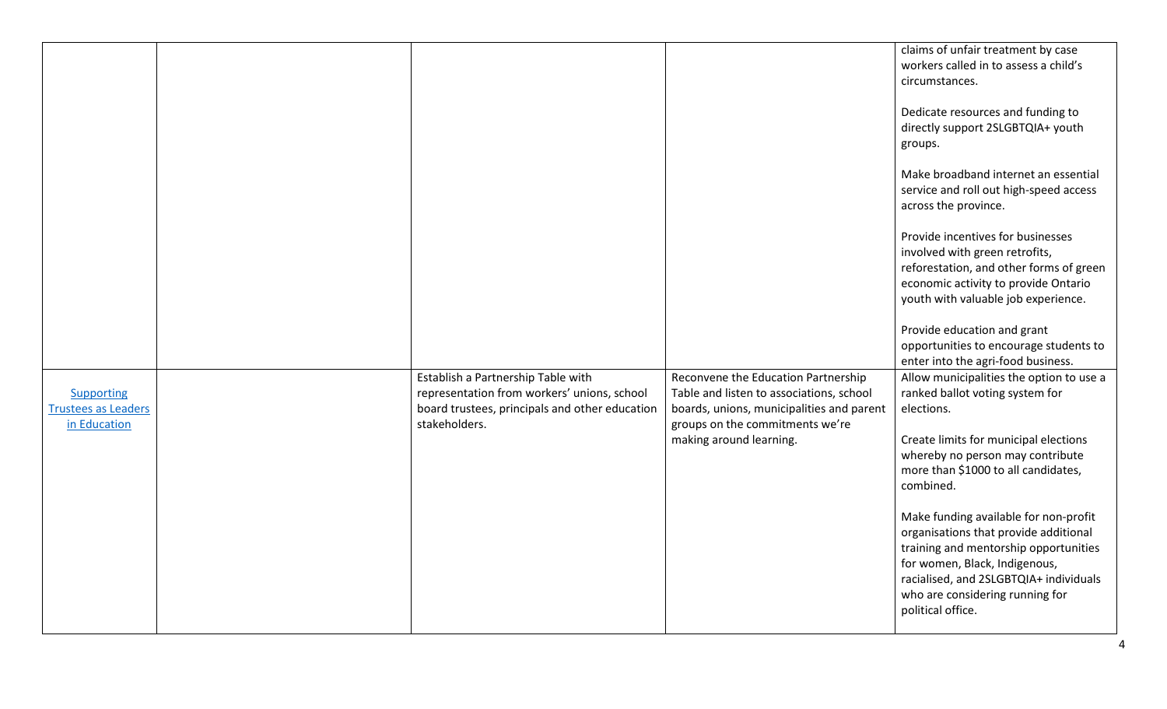|                                                 |                                                                 |                                                                                       | claims of unfair treatment by case<br>workers called in to assess a child's |
|-------------------------------------------------|-----------------------------------------------------------------|---------------------------------------------------------------------------------------|-----------------------------------------------------------------------------|
|                                                 |                                                                 |                                                                                       | circumstances.                                                              |
|                                                 |                                                                 |                                                                                       |                                                                             |
|                                                 |                                                                 |                                                                                       | Dedicate resources and funding to                                           |
|                                                 |                                                                 |                                                                                       | directly support 2SLGBTQIA+ youth                                           |
|                                                 |                                                                 |                                                                                       | groups.                                                                     |
|                                                 |                                                                 |                                                                                       | Make broadband internet an essential                                        |
|                                                 |                                                                 |                                                                                       | service and roll out high-speed access                                      |
|                                                 |                                                                 |                                                                                       | across the province.                                                        |
|                                                 |                                                                 |                                                                                       | Provide incentives for businesses                                           |
|                                                 |                                                                 |                                                                                       | involved with green retrofits,                                              |
|                                                 |                                                                 |                                                                                       | reforestation, and other forms of green                                     |
|                                                 |                                                                 |                                                                                       | economic activity to provide Ontario                                        |
|                                                 |                                                                 |                                                                                       | youth with valuable job experience.                                         |
|                                                 |                                                                 |                                                                                       | Provide education and grant                                                 |
|                                                 |                                                                 |                                                                                       | opportunities to encourage students to                                      |
|                                                 |                                                                 |                                                                                       | enter into the agri-food business.                                          |
|                                                 | Establish a Partnership Table with                              | Reconvene the Education Partnership                                                   | Allow municipalities the option to use a                                    |
| <b>Supporting</b><br><b>Trustees as Leaders</b> | representation from workers' unions, school                     | Table and listen to associations, school<br>boards, unions, municipalities and parent | ranked ballot voting system for<br>elections.                               |
| in Education                                    | board trustees, principals and other education<br>stakeholders. | groups on the commitments we're                                                       |                                                                             |
|                                                 |                                                                 | making around learning.                                                               | Create limits for municipal elections                                       |
|                                                 |                                                                 |                                                                                       | whereby no person may contribute                                            |
|                                                 |                                                                 |                                                                                       | more than \$1000 to all candidates,                                         |
|                                                 |                                                                 |                                                                                       | combined.                                                                   |
|                                                 |                                                                 |                                                                                       | Make funding available for non-profit                                       |
|                                                 |                                                                 |                                                                                       | organisations that provide additional                                       |
|                                                 |                                                                 |                                                                                       | training and mentorship opportunities                                       |
|                                                 |                                                                 |                                                                                       | for women, Black, Indigenous,                                               |
|                                                 |                                                                 |                                                                                       | racialised, and 2SLGBTQIA+ individuals<br>who are considering running for   |
|                                                 |                                                                 |                                                                                       | political office.                                                           |
|                                                 |                                                                 |                                                                                       |                                                                             |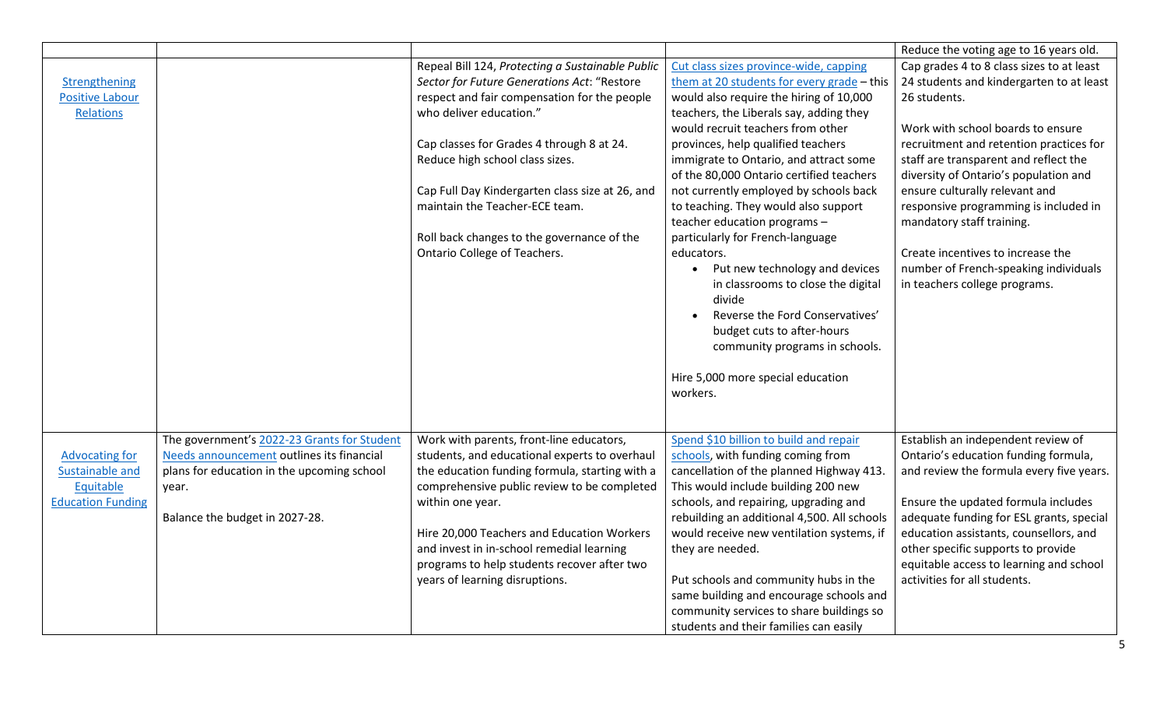|                          |                                             |                                                  |                                             | Reduce the voting age to 16 years old.    |
|--------------------------|---------------------------------------------|--------------------------------------------------|---------------------------------------------|-------------------------------------------|
|                          |                                             | Repeal Bill 124, Protecting a Sustainable Public | Cut class sizes province-wide, capping      | Cap grades 4 to 8 class sizes to at least |
| Strengthening            |                                             | Sector for Future Generations Act: "Restore      | them at 20 students for every grade - this  | 24 students and kindergarten to at least  |
| <b>Positive Labour</b>   |                                             | respect and fair compensation for the people     | would also require the hiring of 10,000     | 26 students.                              |
| <b>Relations</b>         |                                             | who deliver education."                          | teachers, the Liberals say, adding they     |                                           |
|                          |                                             |                                                  | would recruit teachers from other           | Work with school boards to ensure         |
|                          |                                             | Cap classes for Grades 4 through 8 at 24.        | provinces, help qualified teachers          | recruitment and retention practices for   |
|                          |                                             | Reduce high school class sizes.                  | immigrate to Ontario, and attract some      | staff are transparent and reflect the     |
|                          |                                             |                                                  | of the 80,000 Ontario certified teachers    | diversity of Ontario's population and     |
|                          |                                             | Cap Full Day Kindergarten class size at 26, and  | not currently employed by schools back      | ensure culturally relevant and            |
|                          |                                             | maintain the Teacher-ECE team.                   | to teaching. They would also support        | responsive programming is included in     |
|                          |                                             |                                                  | teacher education programs -                | mandatory staff training.                 |
|                          |                                             | Roll back changes to the governance of the       | particularly for French-language            |                                           |
|                          |                                             | Ontario College of Teachers.                     | educators.                                  | Create incentives to increase the         |
|                          |                                             |                                                  | Put new technology and devices              | number of French-speaking individuals     |
|                          |                                             |                                                  | in classrooms to close the digital          | in teachers college programs.             |
|                          |                                             |                                                  | divide                                      |                                           |
|                          |                                             |                                                  | Reverse the Ford Conservatives'             |                                           |
|                          |                                             |                                                  | budget cuts to after-hours                  |                                           |
|                          |                                             |                                                  | community programs in schools.              |                                           |
|                          |                                             |                                                  |                                             |                                           |
|                          |                                             |                                                  | Hire 5,000 more special education           |                                           |
|                          |                                             |                                                  | workers.                                    |                                           |
|                          |                                             |                                                  |                                             |                                           |
|                          | The government's 2022-23 Grants for Student | Work with parents, front-line educators,         | Spend \$10 billion to build and repair      | Establish an independent review of        |
| <b>Advocating for</b>    | Needs announcement outlines its financial   | students, and educational experts to overhaul    | schools, with funding coming from           | Ontario's education funding formula,      |
| Sustainable and          | plans for education in the upcoming school  | the education funding formula, starting with a   | cancellation of the planned Highway 413.    | and review the formula every five years.  |
| Equitable                | year.                                       | comprehensive public review to be completed      | This would include building 200 new         |                                           |
| <b>Education Funding</b> |                                             | within one year.                                 | schools, and repairing, upgrading and       | Ensure the updated formula includes       |
|                          | Balance the budget in 2027-28.              |                                                  | rebuilding an additional 4,500. All schools | adequate funding for ESL grants, special  |
|                          |                                             | Hire 20,000 Teachers and Education Workers       | would receive new ventilation systems, if   | education assistants, counsellors, and    |
|                          |                                             | and invest in in-school remedial learning        | they are needed.                            | other specific supports to provide        |
|                          |                                             | programs to help students recover after two      |                                             | equitable access to learning and school   |
|                          |                                             | years of learning disruptions.                   | Put schools and community hubs in the       | activities for all students.              |
|                          |                                             |                                                  | same building and encourage schools and     |                                           |
|                          |                                             |                                                  | community services to share buildings so    |                                           |
|                          |                                             |                                                  | students and their families can easily      |                                           |

5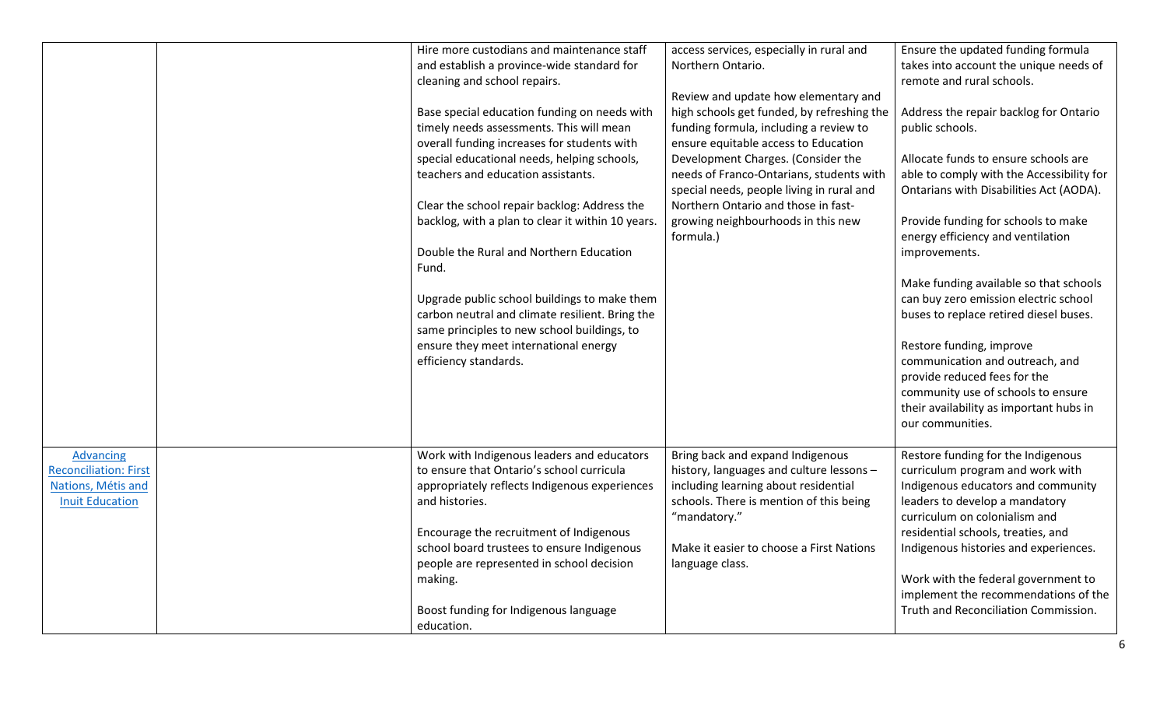|                                                                                           | Hire more custodians and maintenance staff<br>and establish a province-wide standard for<br>cleaning and school repairs.<br>Base special education funding on needs with<br>timely needs assessments. This will mean<br>overall funding increases for students with<br>special educational needs, helping schools,<br>teachers and education assistants.<br>Clear the school repair backlog: Address the<br>backlog, with a plan to clear it within 10 years.<br>Double the Rural and Northern Education<br>Fund.<br>Upgrade public school buildings to make them<br>carbon neutral and climate resilient. Bring the<br>same principles to new school buildings, to<br>ensure they meet international energy<br>efficiency standards. | access services, especially in rural and<br>Northern Ontario.<br>Review and update how elementary and<br>high schools get funded, by refreshing the<br>funding formula, including a review to<br>ensure equitable access to Education<br>Development Charges. (Consider the<br>needs of Franco-Ontarians, students with<br>special needs, people living in rural and<br>Northern Ontario and those in fast-<br>growing neighbourhoods in this new<br>formula.) | Ensure the updated funding formula<br>takes into account the unique needs of<br>remote and rural schools.<br>Address the repair backlog for Ontario<br>public schools.<br>Allocate funds to ensure schools are<br>able to comply with the Accessibility for<br>Ontarians with Disabilities Act (AODA).<br>Provide funding for schools to make<br>energy efficiency and ventilation<br>improvements.<br>Make funding available so that schools<br>can buy zero emission electric school<br>buses to replace retired diesel buses.<br>Restore funding, improve<br>communication and outreach, and<br>provide reduced fees for the<br>community use of schools to ensure<br>their availability as important hubs in<br>our communities. |
|-------------------------------------------------------------------------------------------|---------------------------------------------------------------------------------------------------------------------------------------------------------------------------------------------------------------------------------------------------------------------------------------------------------------------------------------------------------------------------------------------------------------------------------------------------------------------------------------------------------------------------------------------------------------------------------------------------------------------------------------------------------------------------------------------------------------------------------------|----------------------------------------------------------------------------------------------------------------------------------------------------------------------------------------------------------------------------------------------------------------------------------------------------------------------------------------------------------------------------------------------------------------------------------------------------------------|--------------------------------------------------------------------------------------------------------------------------------------------------------------------------------------------------------------------------------------------------------------------------------------------------------------------------------------------------------------------------------------------------------------------------------------------------------------------------------------------------------------------------------------------------------------------------------------------------------------------------------------------------------------------------------------------------------------------------------------|
| Advancing<br><b>Reconciliation: First</b><br>Nations, Métis and<br><b>Inuit Education</b> | Work with Indigenous leaders and educators<br>to ensure that Ontario's school curricula<br>appropriately reflects Indigenous experiences<br>and histories.<br>Encourage the recruitment of Indigenous<br>school board trustees to ensure Indigenous<br>people are represented in school decision<br>making.<br>Boost funding for Indigenous language<br>education.                                                                                                                                                                                                                                                                                                                                                                    | Bring back and expand Indigenous<br>history, languages and culture lessons -<br>including learning about residential<br>schools. There is mention of this being<br>"mandatory."<br>Make it easier to choose a First Nations<br>language class.                                                                                                                                                                                                                 | Restore funding for the Indigenous<br>curriculum program and work with<br>Indigenous educators and community<br>leaders to develop a mandatory<br>curriculum on colonialism and<br>residential schools, treaties, and<br>Indigenous histories and experiences.<br>Work with the federal government to<br>implement the recommendations of the<br>Truth and Reconciliation Commission.                                                                                                                                                                                                                                                                                                                                                |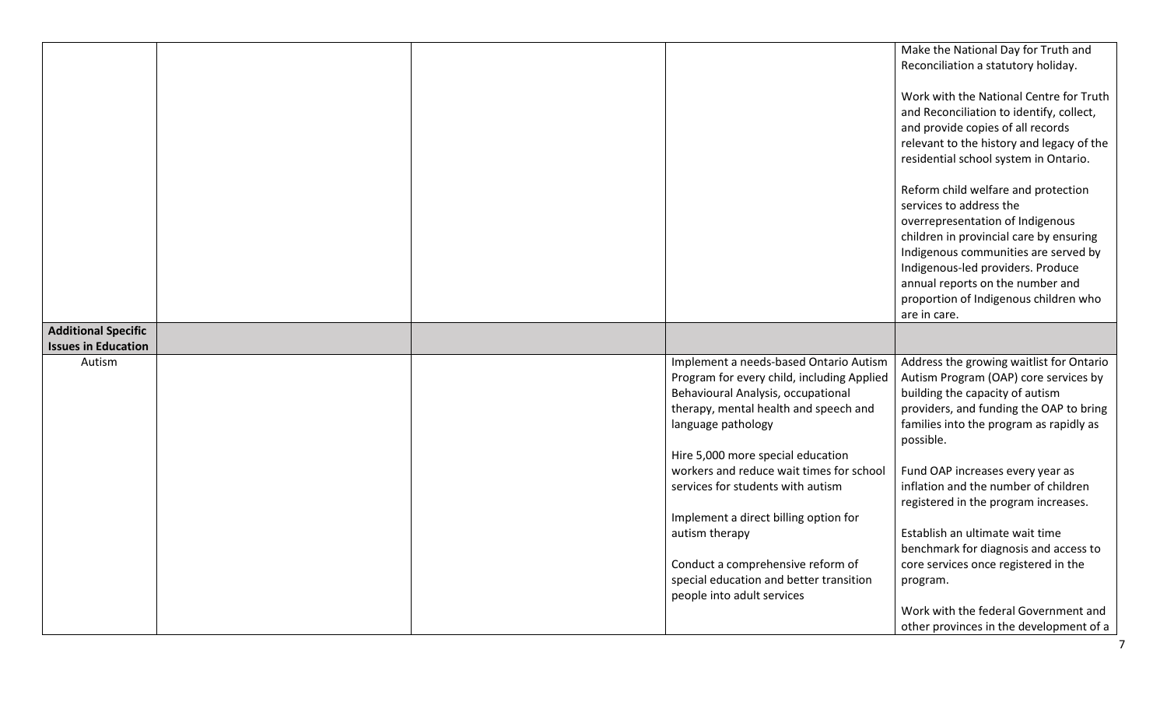|                            |                                            | Make the National Day for Truth and                                   |
|----------------------------|--------------------------------------------|-----------------------------------------------------------------------|
|                            |                                            | Reconciliation a statutory holiday.                                   |
|                            |                                            | Work with the National Centre for Truth                               |
|                            |                                            | and Reconciliation to identify, collect,                              |
|                            |                                            | and provide copies of all records                                     |
|                            |                                            | relevant to the history and legacy of the                             |
|                            |                                            | residential school system in Ontario.                                 |
|                            |                                            | Reform child welfare and protection                                   |
|                            |                                            | services to address the                                               |
|                            |                                            | overrepresentation of Indigenous                                      |
|                            |                                            | children in provincial care by ensuring                               |
|                            |                                            | Indigenous communities are served by                                  |
|                            |                                            | Indigenous-led providers. Produce<br>annual reports on the number and |
|                            |                                            | proportion of Indigenous children who                                 |
|                            |                                            | are in care.                                                          |
| <b>Additional Specific</b> |                                            |                                                                       |
| <b>Issues in Education</b> |                                            |                                                                       |
| Autism                     | Implement a needs-based Ontario Autism     | Address the growing waitlist for Ontario                              |
|                            | Program for every child, including Applied | Autism Program (OAP) core services by                                 |
|                            | Behavioural Analysis, occupational         | building the capacity of autism                                       |
|                            | therapy, mental health and speech and      | providers, and funding the OAP to bring                               |
|                            | language pathology                         | families into the program as rapidly as<br>possible.                  |
|                            | Hire 5,000 more special education          |                                                                       |
|                            | workers and reduce wait times for school   | Fund OAP increases every year as                                      |
|                            | services for students with autism          | inflation and the number of children                                  |
|                            |                                            | registered in the program increases.                                  |
|                            | Implement a direct billing option for      |                                                                       |
|                            | autism therapy                             | Establish an ultimate wait time                                       |
|                            |                                            | benchmark for diagnosis and access to                                 |
|                            | Conduct a comprehensive reform of          | core services once registered in the                                  |
|                            | special education and better transition    | program.                                                              |
|                            | people into adult services                 |                                                                       |
|                            |                                            | Work with the federal Government and                                  |
|                            |                                            | other provinces in the development of a                               |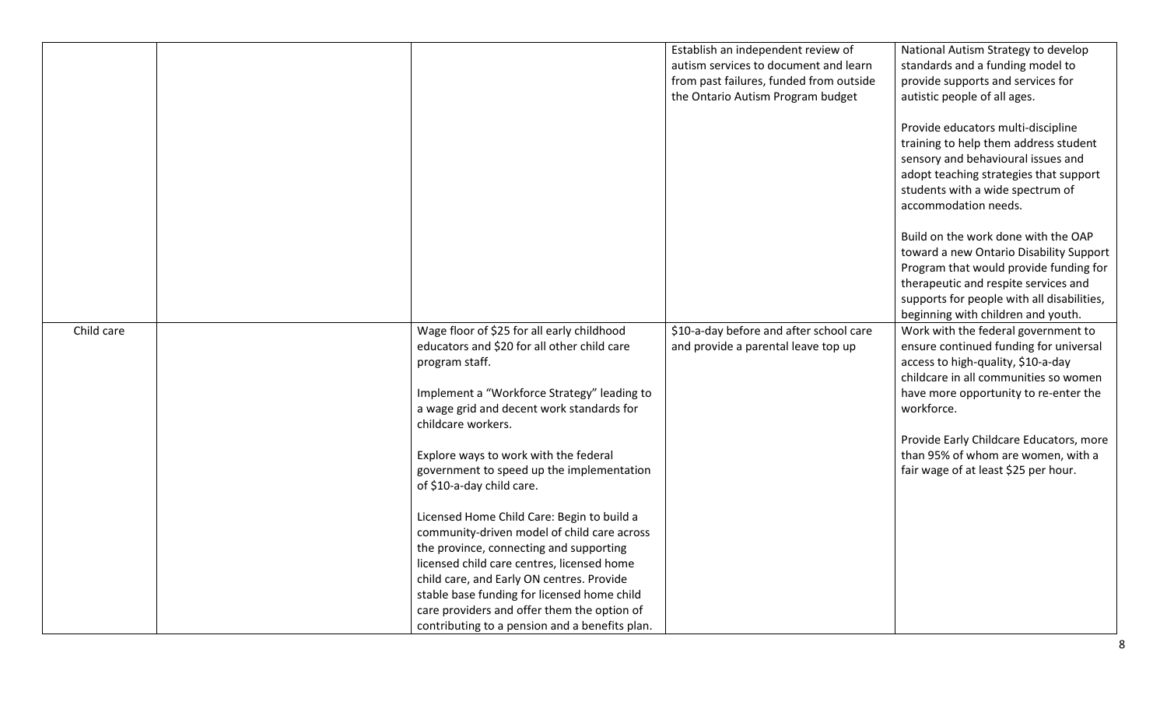|            |                                                                                                                                                                                                                                                                                                                                                                                                              | Establish an independent review of<br>autism services to document and learn<br>from past failures, funded from outside<br>the Ontario Autism Program budget | National Autism Strategy to develop<br>standards and a funding model to<br>provide supports and services for<br>autistic people of all ages.<br>Provide educators multi-discipline<br>training to help them address student<br>sensory and behavioural issues and<br>adopt teaching strategies that support<br>students with a wide spectrum of<br>accommodation needs.<br>Build on the work done with the OAP<br>toward a new Ontario Disability Support |
|------------|--------------------------------------------------------------------------------------------------------------------------------------------------------------------------------------------------------------------------------------------------------------------------------------------------------------------------------------------------------------------------------------------------------------|-------------------------------------------------------------------------------------------------------------------------------------------------------------|-----------------------------------------------------------------------------------------------------------------------------------------------------------------------------------------------------------------------------------------------------------------------------------------------------------------------------------------------------------------------------------------------------------------------------------------------------------|
|            |                                                                                                                                                                                                                                                                                                                                                                                                              |                                                                                                                                                             | Program that would provide funding for<br>therapeutic and respite services and<br>supports for people with all disabilities,<br>beginning with children and youth.                                                                                                                                                                                                                                                                                        |
| Child care | Wage floor of \$25 for all early childhood<br>educators and \$20 for all other child care<br>program staff.<br>Implement a "Workforce Strategy" leading to<br>a wage grid and decent work standards for<br>childcare workers.<br>Explore ways to work with the federal<br>government to speed up the implementation                                                                                          | \$10-a-day before and after school care<br>and provide a parental leave top up                                                                              | Work with the federal government to<br>ensure continued funding for universal<br>access to high-quality, \$10-a-day<br>childcare in all communities so women<br>have more opportunity to re-enter the<br>workforce.<br>Provide Early Childcare Educators, more<br>than 95% of whom are women, with a<br>fair wage of at least \$25 per hour.                                                                                                              |
|            | of \$10-a-day child care.<br>Licensed Home Child Care: Begin to build a<br>community-driven model of child care across<br>the province, connecting and supporting<br>licensed child care centres, licensed home<br>child care, and Early ON centres. Provide<br>stable base funding for licensed home child<br>care providers and offer them the option of<br>contributing to a pension and a benefits plan. |                                                                                                                                                             |                                                                                                                                                                                                                                                                                                                                                                                                                                                           |